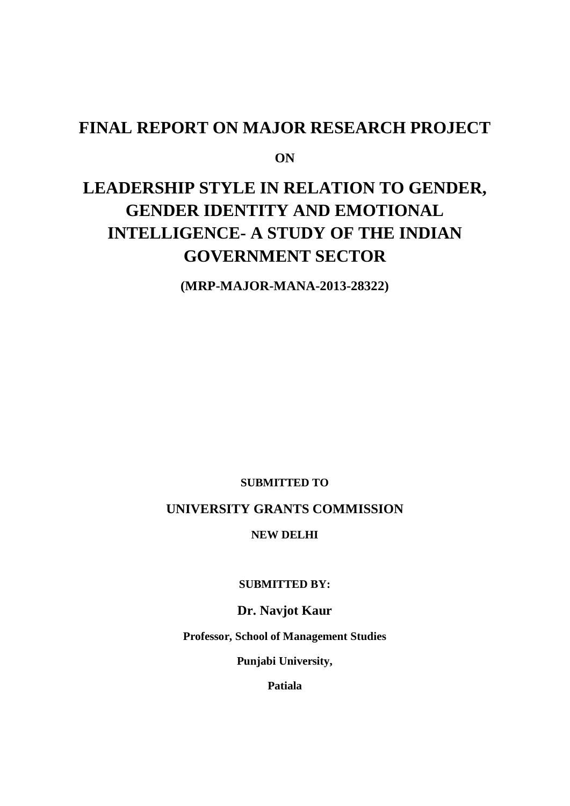# **FINAL REPORT ON MAJOR RESEARCH PROJECT**

**ON**

# **LEADERSHIP STYLE IN RELATION TO GENDER, GENDER IDENTITY AND EMOTIONAL INTELLIGENCE- A STUDY OF THE INDIAN GOVERNMENT SECTOR**

**(MRP-MAJOR-MANA-2013-28322)**

**SUBMITTED TO**

# **UNIVERSITY GRANTS COMMISSION**

#### **NEW DELHI**

**SUBMITTED BY:**

**Dr. Navjot Kaur**

**Professor, School of Management Studies**

**Punjabi University,**

**Patiala**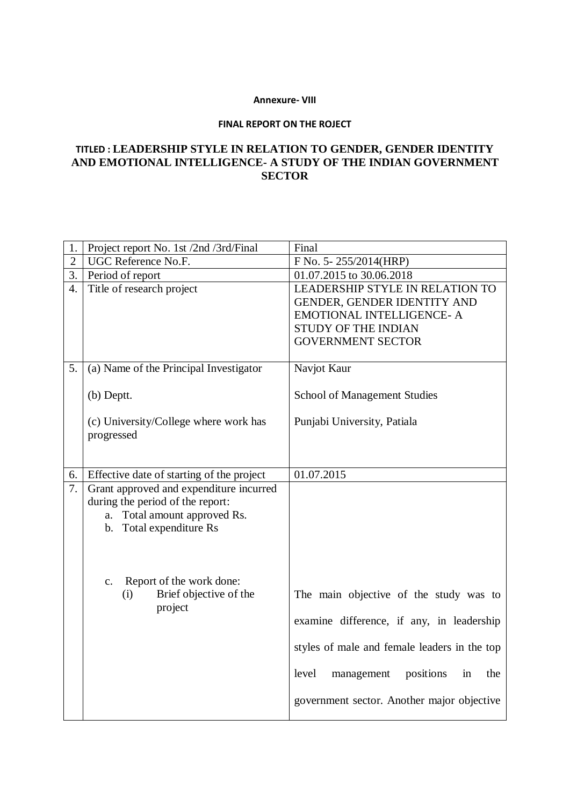#### **Annexure- VIII**

#### **FINAL REPORT ON THE ROJECT**

# **TITLED : LEADERSHIP STYLE IN RELATION TO GENDER, GENDER IDENTITY AND EMOTIONAL INTELLIGENCE- A STUDY OF THE INDIAN GOVERNMENT SECTOR**

| 1.           | Project report No. 1st /2nd /3rd/Final    | Final                                         |
|--------------|-------------------------------------------|-----------------------------------------------|
| $\mathbf{2}$ | UGC Reference No.F.                       | F No. 5-255/2014(HRP)                         |
| 3.           | Period of report                          | 01.07.2015 to 30.06.2018                      |
| 4.           | Title of research project                 | LEADERSHIP STYLE IN RELATION TO               |
|              |                                           | GENDER, GENDER IDENTITY AND                   |
|              |                                           | EMOTIONAL INTELLIGENCE- A                     |
|              |                                           | STUDY OF THE INDIAN                           |
|              |                                           | <b>GOVERNMENT SECTOR</b>                      |
|              |                                           |                                               |
| 5.           | (a) Name of the Principal Investigator    | Navjot Kaur                                   |
|              |                                           |                                               |
|              | (b) Deptt.                                | <b>School of Management Studies</b>           |
|              | (c) University/College where work has     | Punjabi University, Patiala                   |
|              | progressed                                |                                               |
|              |                                           |                                               |
|              |                                           |                                               |
| 6.           | Effective date of starting of the project | 01.07.2015                                    |
| 7.           | Grant approved and expenditure incurred   |                                               |
|              | during the period of the report:          |                                               |
|              | a. Total amount approved Rs.              |                                               |
|              | b. Total expenditure Rs                   |                                               |
|              |                                           |                                               |
|              |                                           |                                               |
|              | Report of the work done:                  |                                               |
|              | c.<br>Brief objective of the<br>(i)       | The main objective of the study was to        |
|              | project                                   |                                               |
|              |                                           | examine difference, if any, in leadership     |
|              |                                           | styles of male and female leaders in the top  |
|              |                                           |                                               |
|              |                                           | level<br>positions<br>in<br>the<br>management |
|              |                                           | government sector. Another major objective    |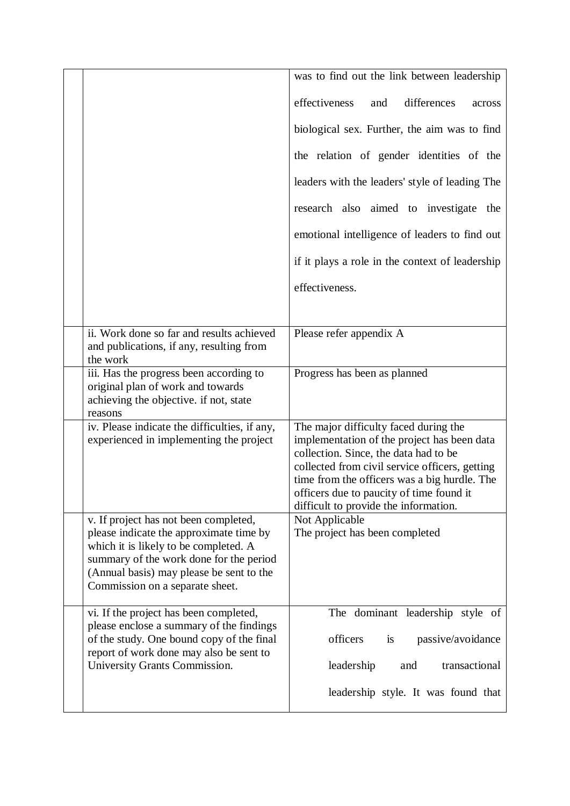|                                                                                                                                                                                                                                                     | was to find out the link between leadership                                                                                                                                                                                                                                                                          |
|-----------------------------------------------------------------------------------------------------------------------------------------------------------------------------------------------------------------------------------------------------|----------------------------------------------------------------------------------------------------------------------------------------------------------------------------------------------------------------------------------------------------------------------------------------------------------------------|
|                                                                                                                                                                                                                                                     | effectiveness<br>differences<br>and<br>across                                                                                                                                                                                                                                                                        |
|                                                                                                                                                                                                                                                     | biological sex. Further, the aim was to find                                                                                                                                                                                                                                                                         |
|                                                                                                                                                                                                                                                     | the relation of gender identities of the                                                                                                                                                                                                                                                                             |
|                                                                                                                                                                                                                                                     | leaders with the leaders' style of leading The                                                                                                                                                                                                                                                                       |
|                                                                                                                                                                                                                                                     | research also aimed to investigate the                                                                                                                                                                                                                                                                               |
|                                                                                                                                                                                                                                                     | emotional intelligence of leaders to find out                                                                                                                                                                                                                                                                        |
|                                                                                                                                                                                                                                                     | if it plays a role in the context of leadership                                                                                                                                                                                                                                                                      |
|                                                                                                                                                                                                                                                     | effectiveness.                                                                                                                                                                                                                                                                                                       |
|                                                                                                                                                                                                                                                     |                                                                                                                                                                                                                                                                                                                      |
| ii. Work done so far and results achieved<br>and publications, if any, resulting from<br>the work                                                                                                                                                   | Please refer appendix A                                                                                                                                                                                                                                                                                              |
| iii. Has the progress been according to<br>original plan of work and towards<br>achieving the objective. if not, state<br>reasons                                                                                                                   | Progress has been as planned                                                                                                                                                                                                                                                                                         |
| iv. Please indicate the difficulties, if any,<br>experienced in implementing the project                                                                                                                                                            | The major difficulty faced during the<br>implementation of the project has been data<br>collection. Since, the data had to be<br>collected from civil service officers, getting<br>time from the officers was a big hurdle. The<br>officers due to paucity of time found it<br>difficult to provide the information. |
| v. If project has not been completed,<br>please indicate the approximate time by<br>which it is likely to be completed. A<br>summary of the work done for the period<br>(Annual basis) may please be sent to the<br>Commission on a separate sheet. | Not Applicable<br>The project has been completed                                                                                                                                                                                                                                                                     |
| vi. If the project has been completed,<br>please enclose a summary of the findings<br>of the study. One bound copy of the final<br>report of work done may also be sent to<br>University Grants Commission.                                         | The dominant leadership style of<br>officers<br>passive/avoidance<br>is<br>leadership<br>transactional<br>and                                                                                                                                                                                                        |
|                                                                                                                                                                                                                                                     | leadership style. It was found that                                                                                                                                                                                                                                                                                  |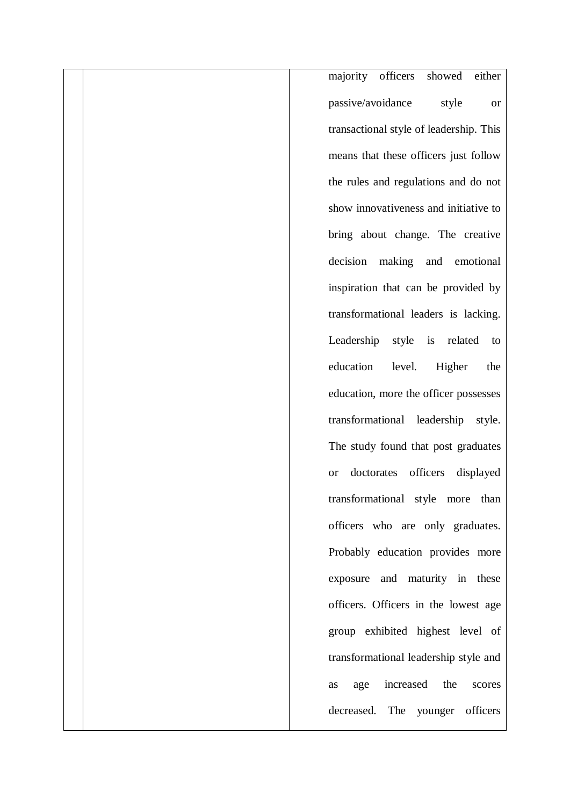majority officers showed either passive/avoidance style or transactional style of leadership. This means that these officers just follow the rules and regulations and do not show innovativeness and initiative to bring about change. The creative decision making and emotional inspiration that can be provided by transformational leaders is lacking. Leadership style is related to education level. Higher the education, more the officer possesses transformational leadership style. The study found that post graduates or doctorates officers displayed transformational style more than officers who are only graduates. Probably education provides more exposure and maturity in these officers. Officers in the lowest age group exhibited highest level of transformational leadership style and as age increased the scores decreased. The younger officers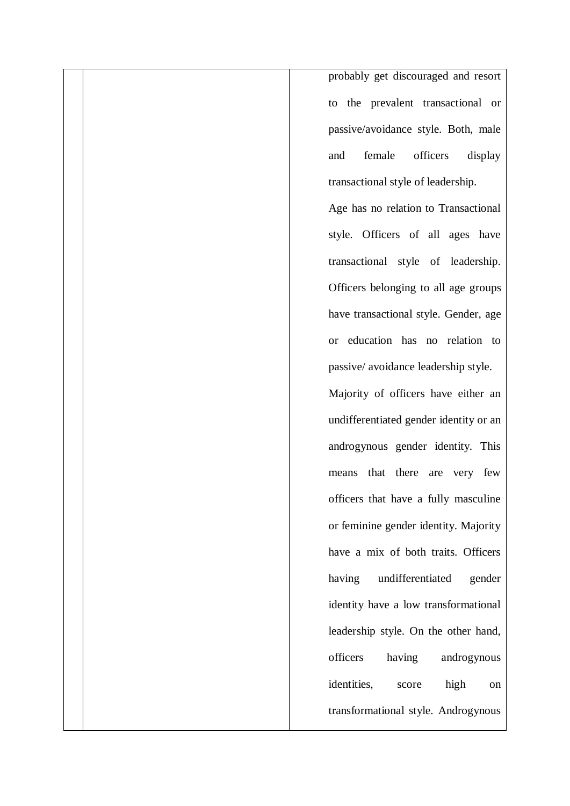probably get discouraged and resort to the prevalent transactional or passive/avoidance style. Both, male and female officers display transactional style of leadership.

Age has no relation to Transactional style. Officers of all ages have transactional style of leadership. Officers belonging to all age groups have transactional style. Gender, age or education has no relation to passive/ avoidance leadership style.

Majority of officers have either an undifferentiated gender identity or an androgynous gender identity. This means that there are very few officers that have a fully masculine or feminine gender identity. Majority have a mix of both traits. Officers having undifferentiated gender identity have a low transformational leadership style. On the other hand, officers having androgynous identities, score high on transformational style. Androgynous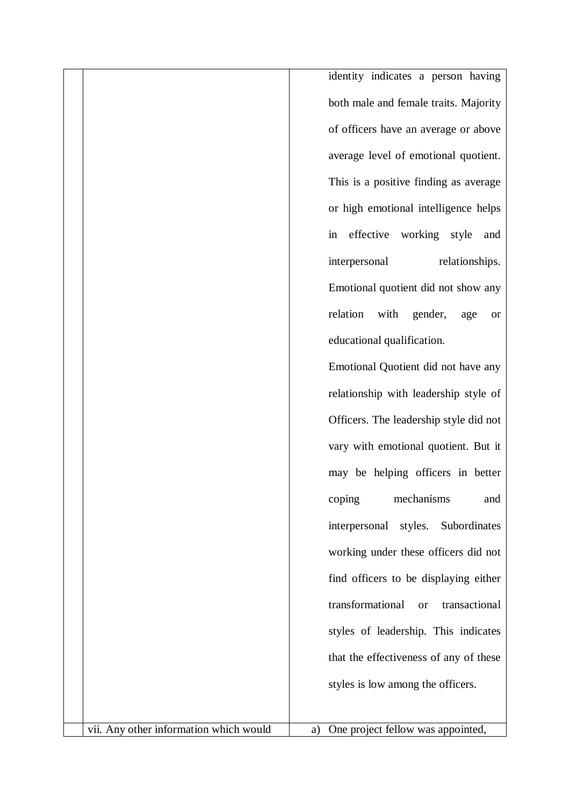identity indicates a person having both male and female traits. Majority of officers have an average or above average level of emotional quotient. This is a positive finding as average or high emotional intelligence helps in effective working style and interpersonal relationships. Emotional quotient did not show any relation with gender, age or educational qualification.

Emotional Quotient did not have any relationship with leadership style of Officers. The leadership style did not vary with emotional quotient. But it may be helping officers in better coping mechanisms and interpersonal styles. Subordinates working under these officers did not find officers to be displaying either transformational or transactional styles of leadership. This indicates that the effectiveness of any of these styles is low among the officers.

vii. Any other information which would  $\begin{vmatrix} a & b \end{vmatrix}$  a) One project fellow was appointed,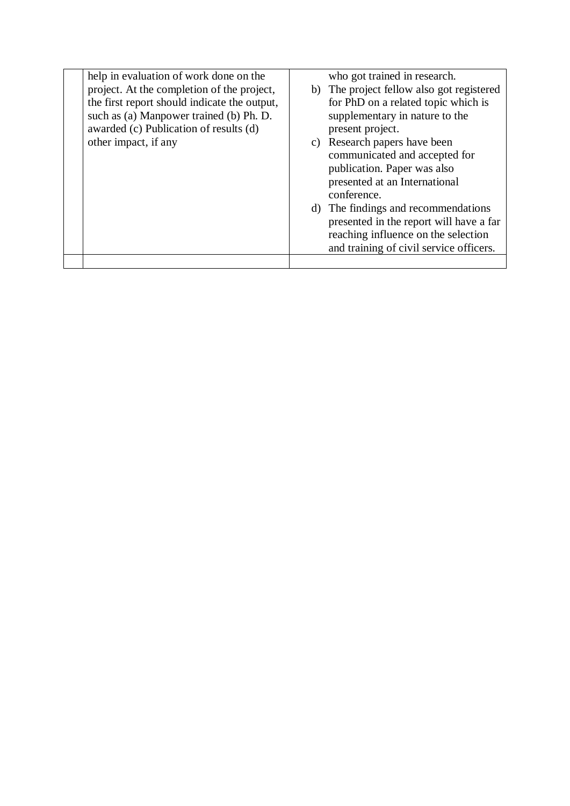| help in evaluation of work done on the       |    | who got trained in research.              |
|----------------------------------------------|----|-------------------------------------------|
|                                              |    |                                           |
| project. At the completion of the project,   |    | b) The project fellow also got registered |
| the first report should indicate the output, |    | for PhD on a related topic which is       |
| such as (a) Manpower trained (b) Ph. D.      |    | supplementary in nature to the            |
| awarded (c) Publication of results (d)       |    | present project.                          |
| other impact, if any                         | C) | Research papers have been                 |
|                                              |    | communicated and accepted for             |
|                                              |    | publication. Paper was also               |
|                                              |    | presented at an International             |
|                                              |    | conference.                               |
|                                              | d) | The findings and recommendations          |
|                                              |    | presented in the report will have a far   |
|                                              |    | reaching influence on the selection       |
|                                              |    | and training of civil service officers.   |
|                                              |    |                                           |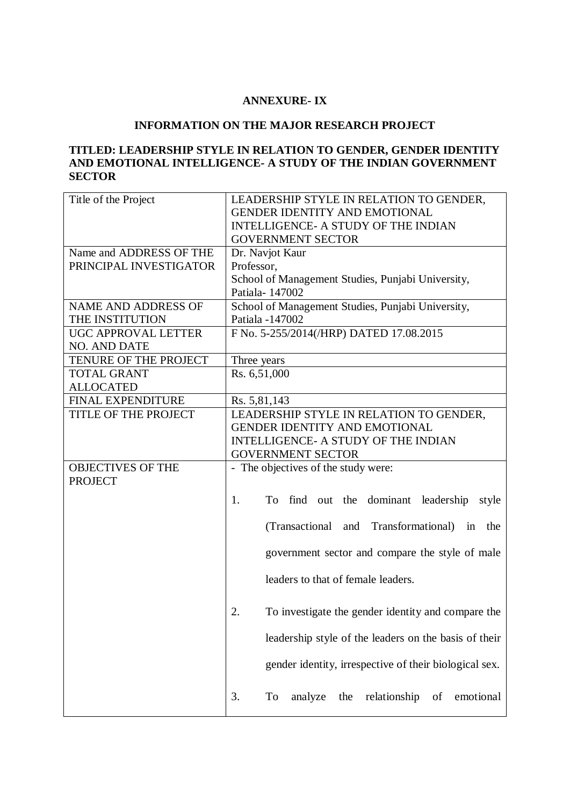# **ANNEXURE- IX**

# **INFORMATION ON THE MAJOR RESEARCH PROJECT**

# **TITLED: LEADERSHIP STYLE IN RELATION TO GENDER, GENDER IDENTITY AND EMOTIONAL INTELLIGENCE- A STUDY OF THE INDIAN GOVERNMENT SECTOR**

| Title of the Project       | LEADERSHIP STYLE IN RELATION TO GENDER,                       |
|----------------------------|---------------------------------------------------------------|
|                            | <b>GENDER IDENTITY AND EMOTIONAL</b>                          |
|                            | INTELLIGENCE- A STUDY OF THE INDIAN                           |
|                            | <b>GOVERNMENT SECTOR</b>                                      |
| Name and ADDRESS OF THE    | Dr. Navjot Kaur                                               |
| PRINCIPAL INVESTIGATOR     | Professor,                                                    |
|                            | School of Management Studies, Punjabi University,             |
|                            | Patiala-147002                                                |
| <b>NAME AND ADDRESS OF</b> | School of Management Studies, Punjabi University,             |
| THE INSTITUTION            | Patiala -147002                                               |
| UGC APPROVAL LETTER        | F No. 5-255/2014(/HRP) DATED 17.08.2015                       |
| <b>NO. AND DATE</b>        |                                                               |
| TENURE OF THE PROJECT      | Three years                                                   |
| <b>TOTAL GRANT</b>         | Rs. 6,51,000                                                  |
| <b>ALLOCATED</b>           |                                                               |
| <b>FINAL EXPENDITURE</b>   | Rs. 5,81,143                                                  |
| TITLE OF THE PROJECT       | LEADERSHIP STYLE IN RELATION TO GENDER,                       |
|                            | <b>GENDER IDENTITY AND EMOTIONAL</b>                          |
|                            | <b>INTELLIGENCE- A STUDY OF THE INDIAN</b>                    |
|                            | <b>GOVERNMENT SECTOR</b>                                      |
| <b>OBJECTIVES OF THE</b>   | - The objectives of the study were:                           |
| <b>PROJECT</b>             |                                                               |
|                            |                                                               |
|                            | To find out the dominant leadership<br>1.<br>style            |
|                            | (Transactional and Transformational) in the                   |
|                            | government sector and compare the style of male               |
|                            | leaders to that of female leaders.                            |
|                            | To investigate the gender identity and compare the<br>2.      |
|                            | leadership style of the leaders on the basis of their         |
|                            | gender identity, irrespective of their biological sex.        |
|                            | To<br>analyze<br>relationship<br>3.<br>the<br>of<br>emotional |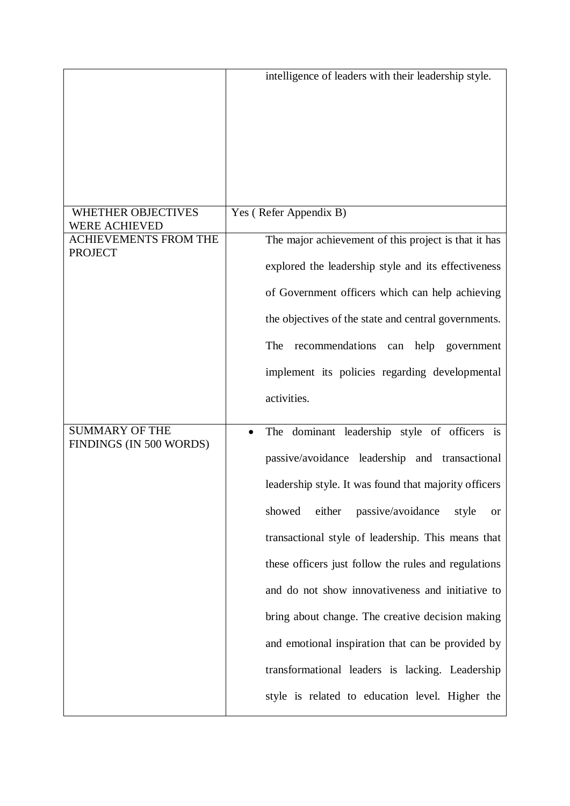|                                                   | intelligence of leaders with their leadership style.            |
|---------------------------------------------------|-----------------------------------------------------------------|
|                                                   |                                                                 |
|                                                   |                                                                 |
|                                                   |                                                                 |
|                                                   |                                                                 |
|                                                   |                                                                 |
| <b>WHETHER OBJECTIVES</b><br><b>WERE ACHIEVED</b> | Yes (Refer Appendix B)                                          |
| <b>ACHIEVEMENTS FROM THE</b><br><b>PROJECT</b>    | The major achievement of this project is that it has            |
|                                                   | explored the leadership style and its effectiveness             |
|                                                   | of Government officers which can help achieving                 |
|                                                   | the objectives of the state and central governments.            |
|                                                   | The<br>recommendations<br>help government<br>can                |
|                                                   | implement its policies regarding developmental                  |
|                                                   | activities.                                                     |
| <b>SUMMARY OF THE</b>                             | The dominant leadership style of officers is                    |
| FINDINGS (IN 500 WORDS)                           | passive/avoidance leadership and transactional                  |
|                                                   | leadership style. It was found that majority officers           |
|                                                   | passive/avoidance<br>showed<br>either<br>style<br><sub>or</sub> |
|                                                   | transactional style of leadership. This means that              |
|                                                   | these officers just follow the rules and regulations            |
|                                                   | and do not show innovativeness and initiative to                |
|                                                   | bring about change. The creative decision making                |
|                                                   | and emotional inspiration that can be provided by               |
|                                                   | transformational leaders is lacking. Leadership                 |
|                                                   | style is related to education level. Higher the                 |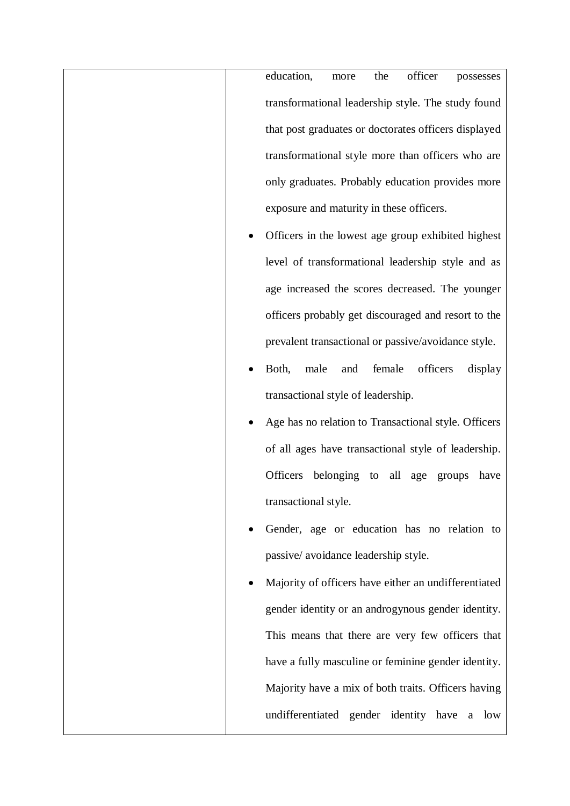education, more the officer possesses transformational leadership style. The study found that post graduates or doctorates officers displayed transformational style more than officers who are only graduates. Probably education provides more exposure and maturity in these officers.

- Officers in the lowest age group exhibited highest level of transformational leadership style and as age increased the scores decreased. The younger officers probably get discouraged and resort to the prevalent transactional or passive/avoidance style.
- Both, male and female officers display transactional style of leadership.
- Age has no relation to Transactional style. Officers of all ages have transactional style of leadership. Officers belonging to all age groups have transactional style.
- Gender, age or education has no relation to passive/ avoidance leadership style.
- Majority of officers have either an undifferentiated gender identity or an androgynous gender identity. This means that there are very few officers that have a fully masculine or feminine gender identity. Majority have a mix of both traits. Officers having undifferentiated gender identity have a low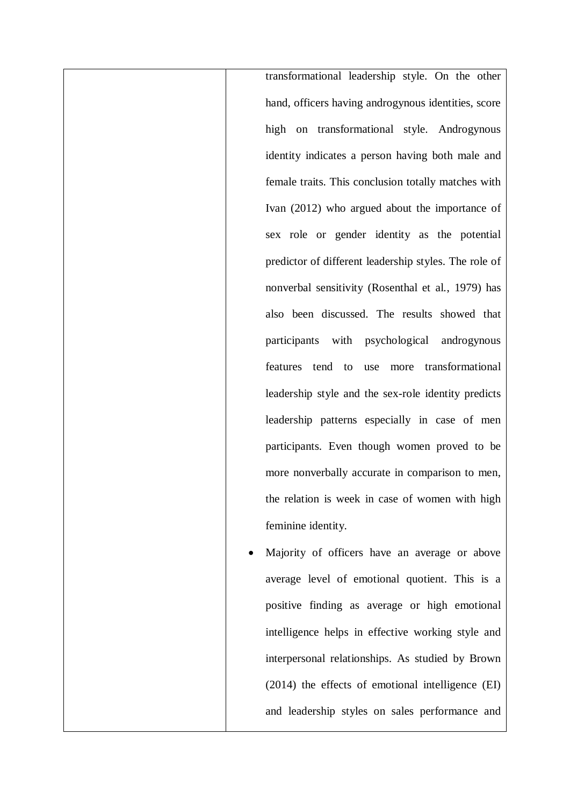transformational leadership style. On the other hand, officers having androgynous identities, score high on transformational style. Androgynous identity indicates a person having both male and female traits. This conclusion totally matches with Ivan (2012) who argued about the importance of sex role or gender identity as the potential predictor of different leadership styles. The role of nonverbal sensitivity (Rosenthal et al., 1979) has also been discussed. The results showed that participants with psychological androgynous features tend to use more transformational leadership style and the sex-role identity predicts leadership patterns especially in case of men participants. Even though women proved to be more nonverbally accurate in comparison to men, the relation is week in case of women with high feminine identity. Majority of officers have an average or above

average level of emotional quotient. This is a positive finding as average or high emotional intelligence helps in effective working style and interpersonal relationships. As studied by Brown (2014) the effects of emotional intelligence (EI) and leadership styles on sales performance and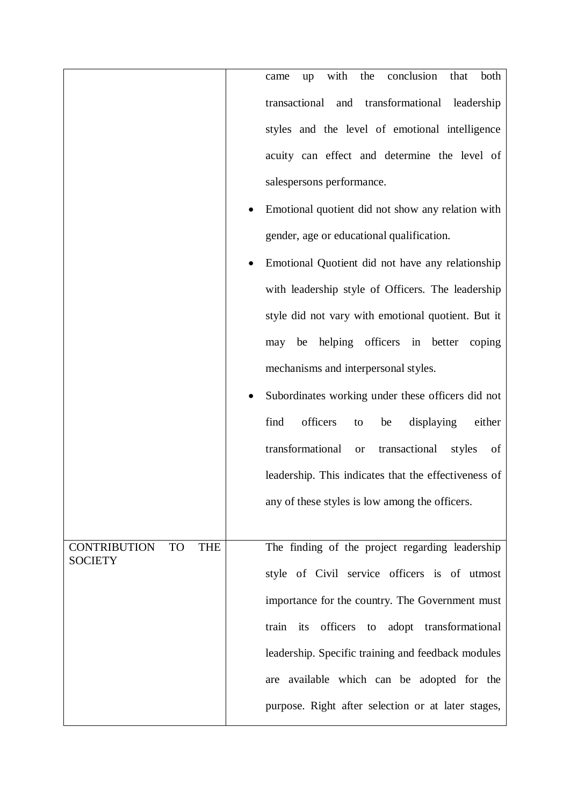|                                                                  | conclusion<br>with<br>the<br>that<br>both<br>up<br>came        |
|------------------------------------------------------------------|----------------------------------------------------------------|
|                                                                  | transactional and transformational leadership                  |
|                                                                  | styles and the level of emotional intelligence                 |
|                                                                  | acuity can effect and determine the level of                   |
|                                                                  | salespersons performance.                                      |
|                                                                  | Emotional quotient did not show any relation with              |
|                                                                  | gender, age or educational qualification.                      |
|                                                                  | Emotional Quotient did not have any relationship               |
|                                                                  | with leadership style of Officers. The leadership              |
|                                                                  | style did not vary with emotional quotient. But it             |
|                                                                  | helping officers in better<br>be<br>coping<br>may              |
|                                                                  | mechanisms and interpersonal styles.                           |
|                                                                  | Subordinates working under these officers did not              |
|                                                                  | officers<br>find<br>displaying<br>either<br>be<br>to           |
|                                                                  | transformational<br>transactional<br>styles<br>of<br><b>or</b> |
|                                                                  | leadership. This indicates that the effectiveness of           |
|                                                                  | any of these styles is low among the officers.                 |
|                                                                  |                                                                |
| <b>TO</b><br><b>THE</b><br><b>CONTRIBUTION</b><br><b>SOCIETY</b> | The finding of the project regarding leadership                |
|                                                                  | style of Civil service officers is of utmost                   |
|                                                                  | importance for the country. The Government must                |
|                                                                  | train its officers<br>to adopt transformational                |
|                                                                  | leadership. Specific training and feedback modules             |
|                                                                  | are available which can be adopted for the                     |
|                                                                  | purpose. Right after selection or at later stages,             |
|                                                                  |                                                                |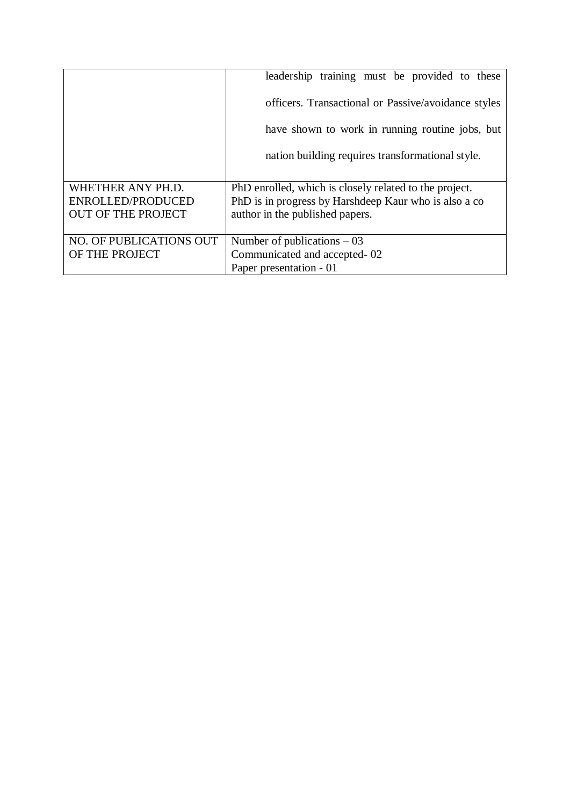|                           | leadership training must be provided to these          |
|---------------------------|--------------------------------------------------------|
|                           | officers. Transactional or Passive/avoidance styles    |
|                           | have shown to work in running routine jobs, but        |
|                           | nation building requires transformational style.       |
|                           |                                                        |
| WHETHER ANY PH.D.         | PhD enrolled, which is closely related to the project. |
| ENROLLED/PRODUCED         | PhD is in progress by Harshdeep Kaur who is also a co  |
| <b>OUT OF THE PROJECT</b> | author in the published papers.                        |
|                           |                                                        |
| NO. OF PUBLICATIONS OUT   | Number of publications $-03$                           |
| OF THE PROJECT            | Communicated and accepted-02                           |
|                           | Paper presentation - 01                                |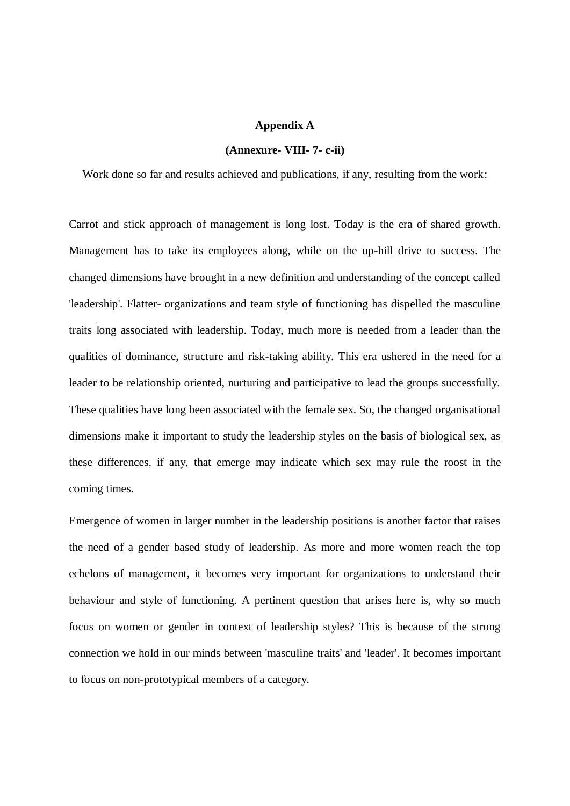#### **Appendix A**

#### **(Annexure- VIII- 7- c-ii)**

Work done so far and results achieved and publications, if any, resulting from the work:

Carrot and stick approach of management is long lost. Today is the era of shared growth. Management has to take its employees along, while on the up-hill drive to success. The changed dimensions have brought in a new definition and understanding of the concept called 'leadership'. Flatter- organizations and team style of functioning has dispelled the masculine traits long associated with leadership. Today, much more is needed from a leader than the qualities of dominance, structure and risk-taking ability. This era ushered in the need for a leader to be relationship oriented, nurturing and participative to lead the groups successfully. These qualities have long been associated with the female sex. So, the changed organisational dimensions make it important to study the leadership styles on the basis of biological sex, as these differences, if any, that emerge may indicate which sex may rule the roost in the coming times.

Emergence of women in larger number in the leadership positions is another factor that raises the need of a gender based study of leadership. As more and more women reach the top echelons of management, it becomes very important for organizations to understand their behaviour and style of functioning. A pertinent question that arises here is, why so much focus on women or gender in context of leadership styles? This is because of the strong connection we hold in our minds between 'masculine traits' and 'leader'. It becomes important to focus on non-prototypical members of a category.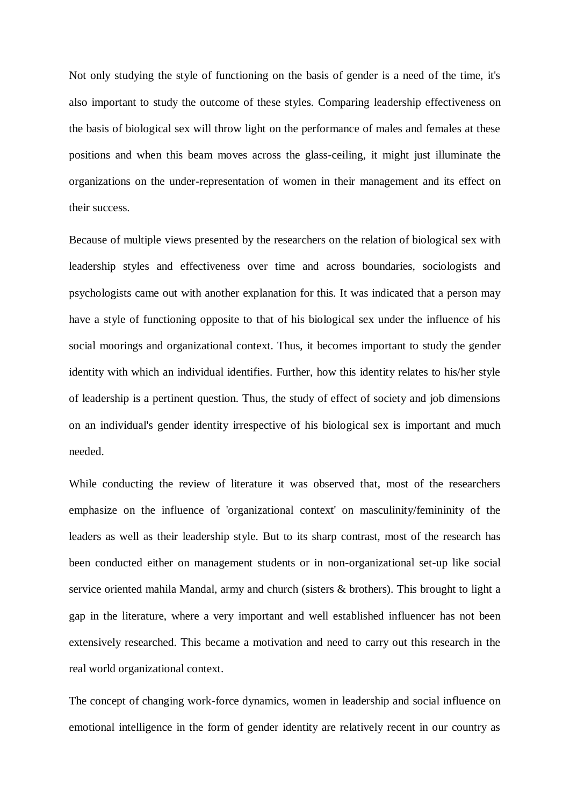Not only studying the style of functioning on the basis of gender is a need of the time, it's also important to study the outcome of these styles. Comparing leadership effectiveness on the basis of biological sex will throw light on the performance of males and females at these positions and when this beam moves across the glass-ceiling, it might just illuminate the organizations on the under-representation of women in their management and its effect on their success.

Because of multiple views presented by the researchers on the relation of biological sex with leadership styles and effectiveness over time and across boundaries, sociologists and psychologists came out with another explanation for this. It was indicated that a person may have a style of functioning opposite to that of his biological sex under the influence of his social moorings and organizational context. Thus, it becomes important to study the gender identity with which an individual identifies. Further, how this identity relates to his/her style of leadership is a pertinent question. Thus, the study of effect of society and job dimensions on an individual's gender identity irrespective of his biological sex is important and much needed.

While conducting the review of literature it was observed that, most of the researchers emphasize on the influence of 'organizational context' on masculinity/femininity of the leaders as well as their leadership style. But to its sharp contrast, most of the research has been conducted either on management students or in non-organizational set-up like social service oriented mahila Mandal, army and church (sisters & brothers). This brought to light a gap in the literature, where a very important and well established influencer has not been extensively researched. This became a motivation and need to carry out this research in the real world organizational context.

The concept of changing work-force dynamics, women in leadership and social influence on emotional intelligence in the form of gender identity are relatively recent in our country as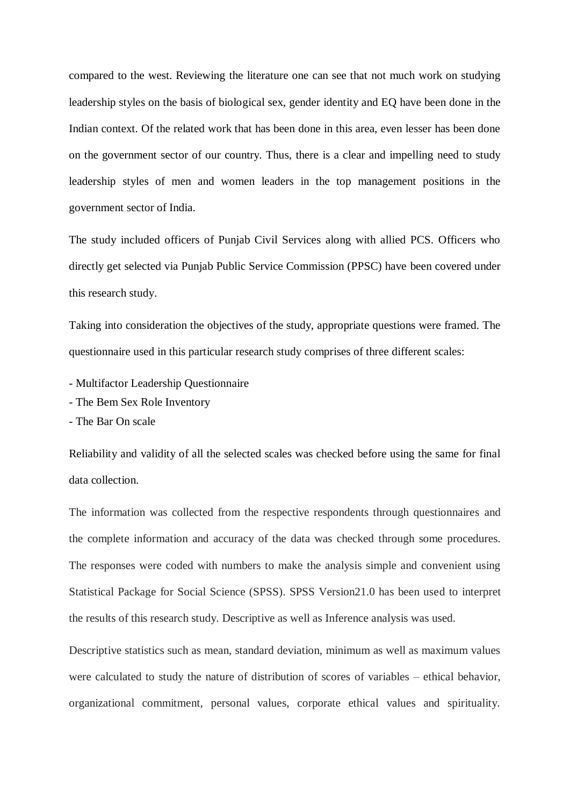compared to the west. Reviewing the literature one can see that not much work on studying leadership styles on the basis of biological sex, gender identity and EQ have been done in the Indian context. Of the related work that has been done in this area, even lesser has been done on the government sector of our country. Thus, there is a clear and impelling need to study leadership styles of men and women leaders in the top management positions in the government sector of India.

The study included officers of Punjab Civil Services along with allied PCS. Officers who directly get selected via Punjab Public Service Commission (PPSC) have been covered under this research study.

Taking into consideration the objectives of the study, appropriate questions were framed. The questionnaire used in this particular research study comprises of three different scales:

- Multifactor Leadership Questionnaire
- The Bem Sex Role Inventory
- The Bar On scale

Reliability and validity of all the selected scales was checked before using the same for final data collection.

The information was collected from the respective respondents through questionnaires and the complete information and accuracy of the data was checked through some procedures. The responses were coded with numbers to make the analysis simple and convenient using Statistical Package for Social Science (SPSS). SPSS Version21.0 has been used to interpret the results of this research study. Descriptive as well as Inference analysis was used.

Descriptive statistics such as mean, standard deviation, minimum as well as maximum values were calculated to study the nature of distribution of scores of variables – ethical behavior, organizational commitment, personal values, corporate ethical values and spirituality.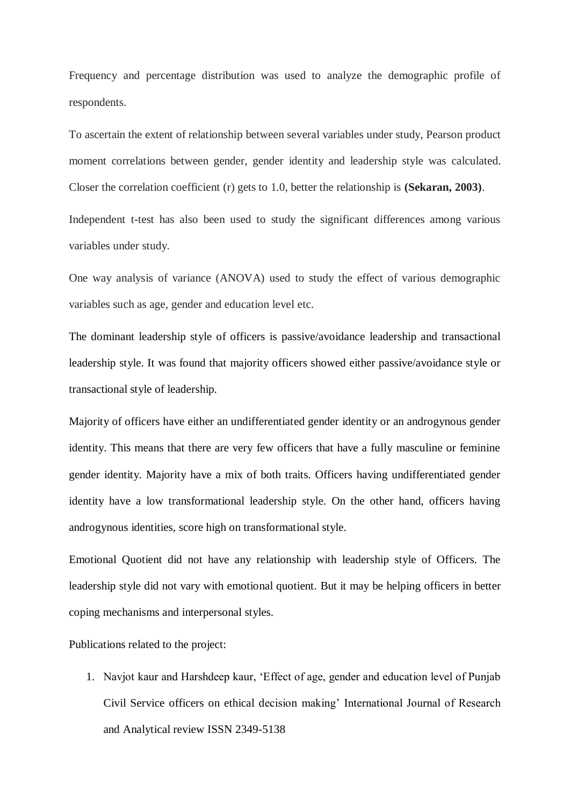Frequency and percentage distribution was used to analyze the demographic profile of respondents.

To ascertain the extent of relationship between several variables under study, Pearson product moment correlations between gender, gender identity and leadership style was calculated. Closer the correlation coefficient (r) gets to 1.0, better the relationship is **(Sekaran, 2003)**.

Independent t-test has also been used to study the significant differences among various variables under study.

One way analysis of variance (ANOVA) used to study the effect of various demographic variables such as age, gender and education level etc.

The dominant leadership style of officers is passive/avoidance leadership and transactional leadership style. It was found that majority officers showed either passive/avoidance style or transactional style of leadership.

Majority of officers have either an undifferentiated gender identity or an androgynous gender identity. This means that there are very few officers that have a fully masculine or feminine gender identity. Majority have a mix of both traits. Officers having undifferentiated gender identity have a low transformational leadership style. On the other hand, officers having androgynous identities, score high on transformational style.

Emotional Quotient did not have any relationship with leadership style of Officers. The leadership style did not vary with emotional quotient. But it may be helping officers in better coping mechanisms and interpersonal styles.

Publications related to the project:

1. Navjot kaur and Harshdeep kaur, 'Effect of age, gender and education level of Punjab Civil Service officers on ethical decision making' International Journal of Research and Analytical review ISSN 2349-5138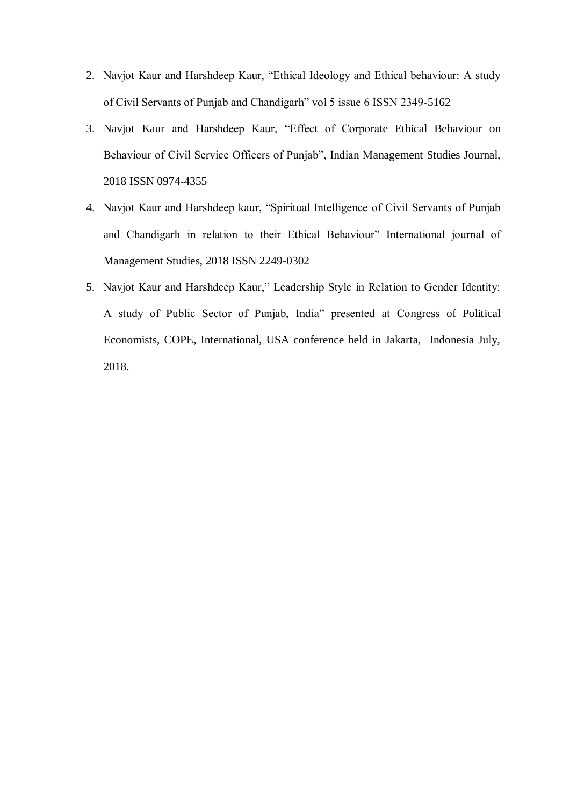- 2. Navjot Kaur and Harshdeep Kaur, "Ethical Ideology and Ethical behaviour: A study of Civil Servants of Punjab and Chandigarh" vol 5 issue 6 ISSN 2349-5162
- 3. Navjot Kaur and Harshdeep Kaur, "Effect of Corporate Ethical Behaviour on Behaviour of Civil Service Officers of Punjab", Indian Management Studies Journal, 2018 ISSN 0974-4355
- 4. Navjot Kaur and Harshdeep kaur, "Spiritual Intelligence of Civil Servants of Punjab and Chandigarh in relation to their Ethical Behaviour" International journal of Management Studies, 2018 ISSN 2249-0302
- 5. Navjot Kaur and Harshdeep Kaur," Leadership Style in Relation to Gender Identity: A study of Public Sector of Punjab, India" presented at Congress of Political Economists, COPE, International, USA conference held in Jakarta, Indonesia July, 2018.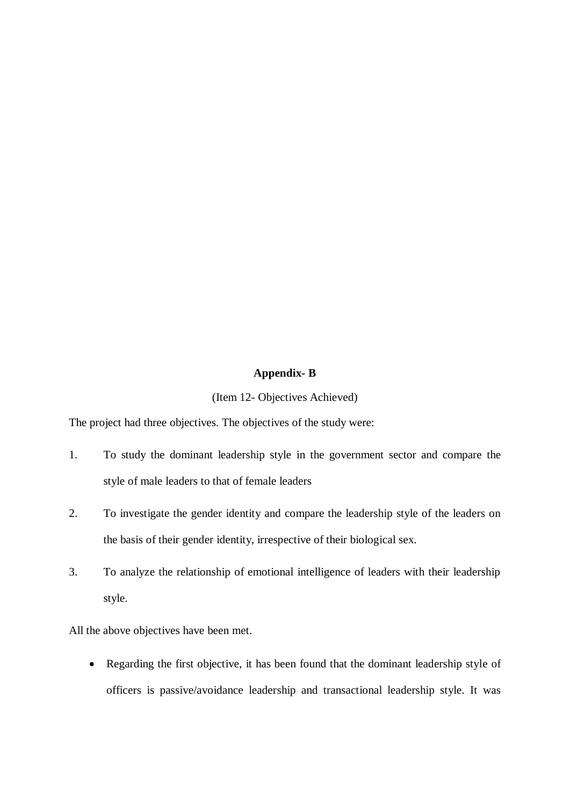# **Appendix- B**

#### (Item 12- Objectives Achieved)

The project had three objectives. The objectives of the study were:

- 1. To study the dominant leadership style in the government sector and compare the style of male leaders to that of female leaders
- 2. To investigate the gender identity and compare the leadership style of the leaders on the basis of their gender identity, irrespective of their biological sex.
- 3. To analyze the relationship of emotional intelligence of leaders with their leadership style.

All the above objectives have been met.

 Regarding the first objective, it has been found that the dominant leadership style of officers is passive/avoidance leadership and transactional leadership style. It was